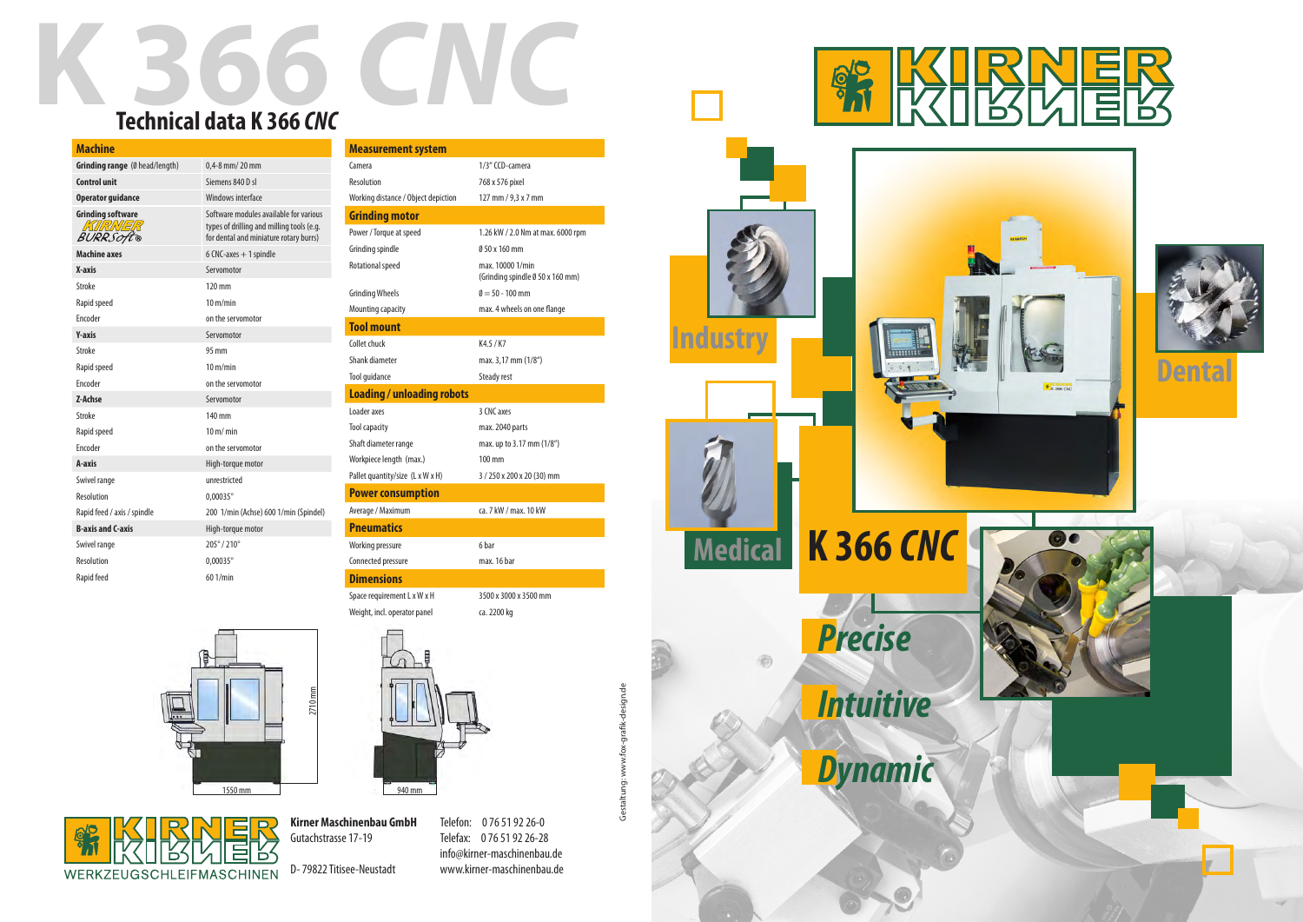**Kirner Maschinenbau GmbH** Gutachstrasse 17-19

D- 79822 Titisee-Neustadt

Gestaltung: www.fox-grafik-design.de Gestaltung: www.fox-grafik-design.de

## **K 366 CNC Technical data K 366** *CNC*

Telefon: 0 76 51 92 26-0 Telefax: 0 76 51 92 26-28 info@kirner-maschinenbau.de www.kirner-maschinenbau.de

| <b>Machine</b>                                         |                                                                                                                               |
|--------------------------------------------------------|-------------------------------------------------------------------------------------------------------------------------------|
| Grinding range (Ø head/length)                         | $0.4 - 8$ mm/ $20$ mm                                                                                                         |
| <b>Control unit</b>                                    | Siemens 840 D sl                                                                                                              |
| <b>Operator guidance</b>                               | Windows interface                                                                                                             |
| <b>Grinding software</b><br>KIRNER<br><b>BURRSOft®</b> | Software modules available for various<br>types of drilling and milling tools (e.g.<br>for dental and miniature rotary burrs) |
| <b>Machine axes</b>                                    | $6$ CNC-axes $+$ 1 spindle                                                                                                    |
| X-axis                                                 | Servomotor                                                                                                                    |
| <b>Stroke</b>                                          | 120 mm                                                                                                                        |
| Rapid speed                                            | $10 \text{ m/min}$                                                                                                            |
| Encoder                                                | on the servomotor                                                                                                             |
| <b>Y-axis</b>                                          | Servomotor                                                                                                                    |
| <b>Stroke</b>                                          | 95 mm                                                                                                                         |
| Rapid speed                                            | $10 \text{ m/min}$                                                                                                            |
| Encoder                                                | on the servomotor                                                                                                             |
| Z-Achse                                                | Servomotor                                                                                                                    |
| <b>Stroke</b>                                          | 140 mm                                                                                                                        |
| Rapid speed                                            | $10 \text{ m/m}$                                                                                                              |
| Encoder                                                | on the servomotor                                                                                                             |
| A-axis                                                 | High-torque motor                                                                                                             |
| Swivel range                                           | unrestricted                                                                                                                  |
| Resolution                                             | 0,00035°                                                                                                                      |
| Rapid feed / axis / spindle                            | 200 1/min (Achse) 600 1/min (Spindel)                                                                                         |
| <b>B-axis and C-axis</b>                               | High-torque motor                                                                                                             |
| Swivel range                                           | 205°/210°                                                                                                                     |
| Resolution                                             | $0,00035^{\circ}$                                                                                                             |
| Rapid feed                                             | 601/min                                                                                                                       |

| <b>Measurement system</b>           |                                                      |  |  |
|-------------------------------------|------------------------------------------------------|--|--|
| Camera                              | 1/3" CCD-camera                                      |  |  |
| Resolution                          | 768 x 576 pixel                                      |  |  |
| Working distance / Object depiction | 127 mm / 9,3 x 7 mm                                  |  |  |
|                                     |                                                      |  |  |
| <b>Grinding motor</b>               |                                                      |  |  |
| Power / Torque at speed             | 1.26 kW / 2.0 Nm at max. 6000 rpm                    |  |  |
| Grinding spindle                    | 0 50 x 160 mm                                        |  |  |
| Rotational speed                    | max. 10000 1/min<br>(Grinding spindle Ø 50 x 160 mm) |  |  |
| <b>Grinding Wheels</b>              | $\theta = 50 - 100$ mm                               |  |  |
| Mounting capacity                   | max. 4 wheels on one flange                          |  |  |
| <b>Tool mount</b>                   |                                                      |  |  |
| Collet chuck                        | K4.5 / K7                                            |  |  |
| Shank diameter                      | max. 3,17 mm (1/8")                                  |  |  |
| Tool quidance                       | Steady rest                                          |  |  |
| <b>Loading / unloading robots</b>   |                                                      |  |  |
| Loader axes                         | 3 CNC axes                                           |  |  |
| <b>Tool capacity</b>                | max. 2040 parts                                      |  |  |
| Shaft diameter range                | max. up to 3.17 mm (1/8")                            |  |  |
| Workpiece length (max.)             | $100 \text{ mm}$                                     |  |  |
| Pallet quantity/size (L x W x H)    | 3 / 250 x 200 x 20 (30) mm                           |  |  |
| <b>Power consumption</b>            |                                                      |  |  |
| Average / Maximum                   | ca. 7 kW / max. 10 kW                                |  |  |
| <b>Pneumatics</b>                   |                                                      |  |  |
| Working pressure                    | 6 har                                                |  |  |
| Connected pressure                  | max. 16 bar                                          |  |  |
| <b>Dimensions</b>                   |                                                      |  |  |
| Space requirement L x W x H         | 3500 x 3000 x 3500 mm                                |  |  |
| Weight, incl. operator panel        | ca. 2200 kg                                          |  |  |



**Dental**











WERKZEUGSCHLEIFMASCHINEN

 ${\mathbb K}$